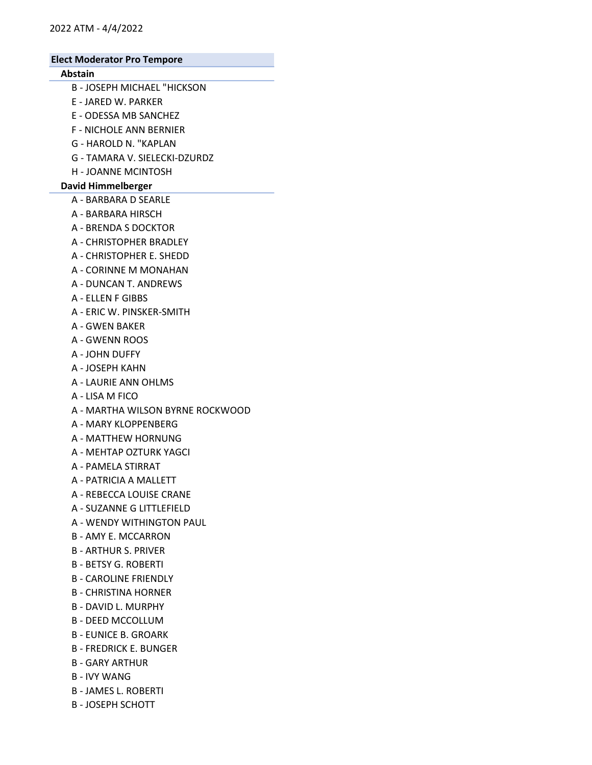# Abstain

- B JOSEPH MICHAEL "HICKSON
- E JARED W. PARKER
- E ODESSA MB SANCHEZ
- F NICHOLE ANN BERNIER
- G HAROLD N. "KAPLAN
- G TAMARA V. SIELECKI-DZURDZ
- H JOANNE MCINTOSH

### David Himmelberger

- A BARBARA D SEARLE
- A BARBARA HIRSCH
- A BRENDA S DOCKTOR
- A CHRISTOPHER BRADLEY
- A CHRISTOPHER E. SHEDD
- A CORINNE M MONAHAN
- A DUNCAN T. ANDREWS
- A ELLEN F GIBBS
- A ERIC W. PINSKER-SMITH
- A GWEN BAKER
- A GWENN ROOS
- A JOHN DUFFY
- A JOSEPH KAHN
- A LAURIE ANN OHLMS
- A LISA M FICO
- A MARTHA WILSON BYRNE ROCKWOOD
- A MARY KLOPPENBERG
- A MATTHEW HORNUNG
- A MEHTAP OZTURK YAGCI
- A PAMELA STIRRAT
- A PATRICIA A MALLETT
- A REBECCA LOUISE CRANE
- A SUZANNE G LITTLEFIELD
- A WENDY WITHINGTON PAUL
- B AMY E. MCCARRON
- B ARTHUR S. PRIVER
- B BETSY G. ROBERTI
- B CAROLINE FRIENDLY
- B CHRISTINA HORNER
- B DAVID L. MURPHY
- B DEED MCCOLLUM
- B EUNICE B. GROARK
- B FREDRICK E. BUNGER
- B GARY ARTHUR
- B IVY WANG
- B JAMES L. ROBERTI
- B JOSEPH SCHOTT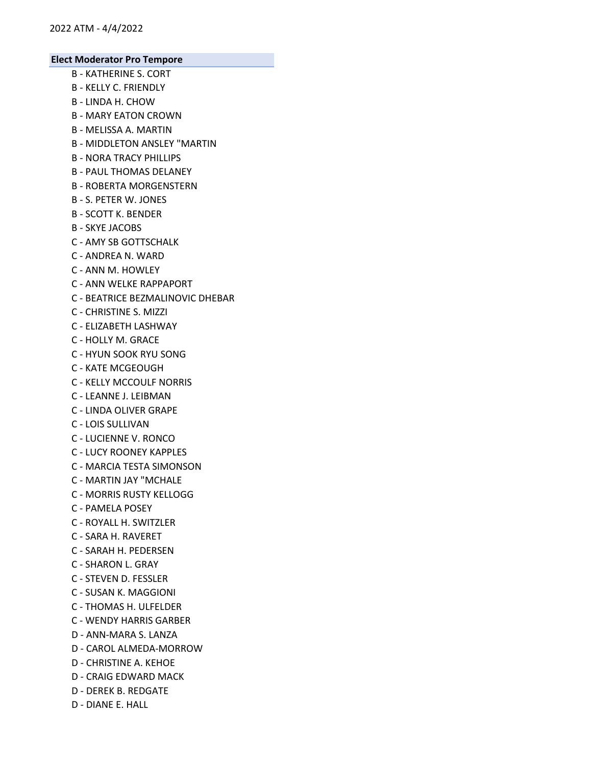- B KATHERINE S. CORT
- B KELLY C. FRIENDLY
- B LINDA H. CHOW
- B MARY EATON CROWN
- B MELISSA A. MARTIN
- B MIDDLETON ANSLEY "MARTIN
- B NORA TRACY PHILLIPS
- B PAUL THOMAS DELANEY
- B ROBERTA MORGENSTERN
- B S. PETER W. JONES
- B SCOTT K. BENDER
- B SKYE JACOBS
- C AMY SB GOTTSCHALK
- C ANDREA N. WARD
- C ANN M. HOWLEY
- C ANN WELKE RAPPAPORT
- C BEATRICE BEZMALINOVIC DHEBAR
- C CHRISTINE S. MIZZI
- C ELIZABETH LASHWAY
- C HOLLY M. GRACE
- C HYUN SOOK RYU SONG
- C KATE MCGEOUGH
- C KELLY MCCOULF NORRIS
- C LEANNE J. LEIBMAN
- C LINDA OLIVER GRAPE
- C LOIS SULLIVAN
- C LUCIENNE V. RONCO
- C LUCY ROONEY KAPPLES
- C MARCIA TESTA SIMONSON
- C MARTIN JAY "MCHALE
- C MORRIS RUSTY KELLOGG
- C PAMELA POSEY
- C ROYALL H. SWITZLER
- C SARA H. RAVERET
- C SARAH H. PEDERSEN
- C SHARON L. GRAY
- C STEVEN D. FESSLER
- C SUSAN K. MAGGIONI
- C THOMAS H. ULFELDER
- C WENDY HARRIS GARBER
- D ANN-MARA S. LANZA
- D CAROL ALMEDA-MORROW
- D CHRISTINE A. KEHOE
- D CRAIG EDWARD MACK
- D DEREK B. REDGATE
- D DIANE E. HALL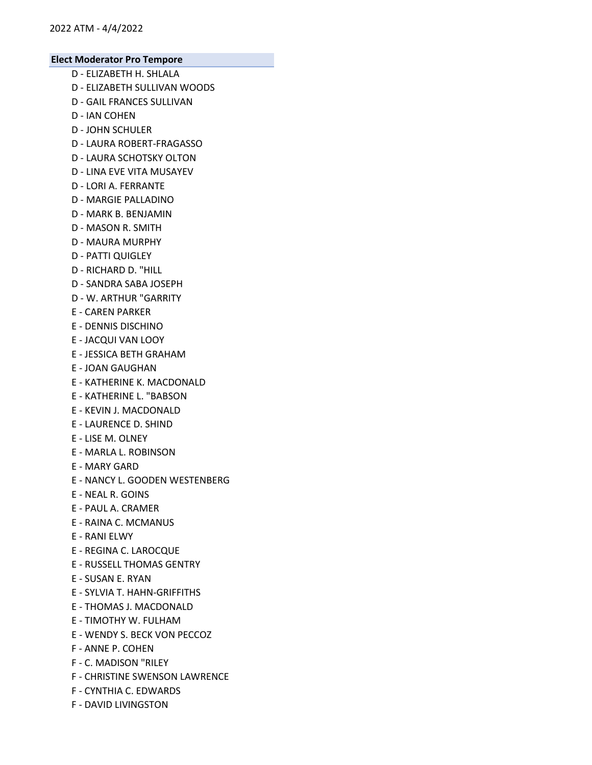- D ELIZABETH H. SHLALA
- D ELIZABETH SULLIVAN WOODS
- D GAIL FRANCES SULLIVAN
- D IAN COHEN
- D JOHN SCHULER
- D LAURA ROBERT-FRAGASSO
- D LAURA SCHOTSKY OLTON
- D LINA EVE VITA MUSAYEV
- D LORI A. FERRANTE
- D MARGIE PALLADINO
- D MARK B. BENJAMIN
- D MASON R. SMITH
- D MAURA MURPHY
- D PATTI QUIGLEY
- D RICHARD D. "HILL
- D SANDRA SABA JOSEPH
- D W. ARTHUR "GARRITY
- E CAREN PARKER
- E DENNIS DISCHINO
- E JACQUI VAN LOOY
- E JESSICA BETH GRAHAM
- E JOAN GAUGHAN
- E KATHERINE K. MACDONALD
- E KATHERINE L. "BABSON
- E KEVIN J. MACDONALD
- E LAURENCE D. SHIND
- E LISE M. OLNEY
- E MARLA L. ROBINSON
- E MARY GARD
- E NANCY L. GOODEN WESTENBERG
- E NEAL R. GOINS
- E PAUL A. CRAMER
- E RAINA C. MCMANUS
- E RANI ELWY
- E REGINA C. LAROCQUE
- E RUSSELL THOMAS GENTRY
- E SUSAN E. RYAN
- E SYLVIA T. HAHN-GRIFFITHS
- E THOMAS J. MACDONALD
- E TIMOTHY W. FULHAM
- E WENDY S. BECK VON PECCOZ
- F ANNE P. COHEN
- F C. MADISON "RILEY
- F CHRISTINE SWENSON LAWRENCE
- F CYNTHIA C. EDWARDS
- F DAVID LIVINGSTON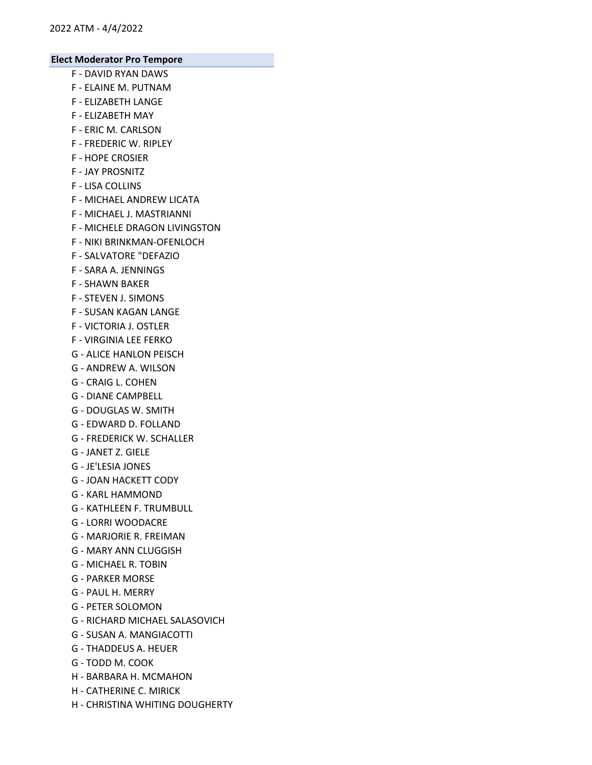- F DAVID RYAN DAWS
- F ELAINE M. PUTNAM
- F ELIZABETH LANGE
- F ELIZABETH MAY
- F ERIC M. CARLSON
- F FREDERIC W. RIPLEY
- F HOPE CROSIER
- F JAY PROSNITZ
- F LISA COLLINS
- F MICHAEL ANDREW LICATA
- F MICHAEL J. MASTRIANNI
- F MICHELE DRAGON LIVINGSTON
- F NIKI BRINKMAN-OFENLOCH
- F SALVATORE "DEFAZIO
- F SARA A. JENNINGS
- F SHAWN BAKER
- F STEVEN J. SIMONS
- F SUSAN KAGAN LANGE
- F VICTORIA J. OSTLER
- F VIRGINIA LEE FERKO
- G ALICE HANLON PEISCH
- G ANDREW A. WILSON
- G CRAIG L. COHEN
- G DIANE CAMPBELL
- G DOUGLAS W. SMITH
- G EDWARD D. FOLLAND
- G FREDERICK W. SCHALLER
- G JANET Z. GIELE
- G JE'LESIA JONES
- G JOAN HACKETT CODY
- G KARL HAMMOND
- G KATHLEEN F. TRUMBULL
- G LORRI WOODACRE
- G MARJORIE R. FREIMAN
- G MARY ANN CLUGGISH
- G MICHAEL R. TOBIN
- G PARKER MORSE
- G PAUL H. MERRY
- G PETER SOLOMON
- G RICHARD MICHAEL SALASOVICH
- G SUSAN A. MANGIACOTTI
- G THADDEUS A. HEUER
- G TODD M. COOK
- H BARBARA H. MCMAHON
- H CATHERINE C. MIRICK
- H CHRISTINA WHITING DOUGHERTY